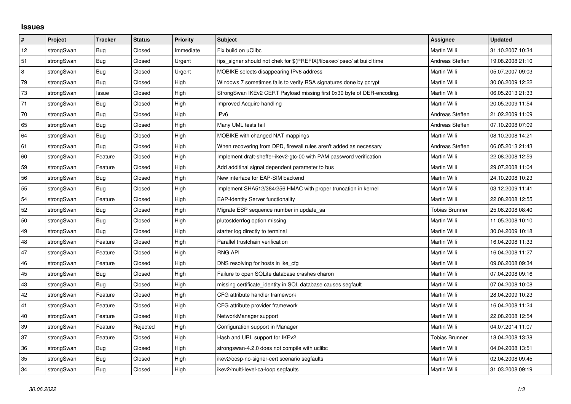## **Issues**

| $\pmb{\#}$ | Project    | <b>Tracker</b> | <b>Status</b> | <b>Priority</b> | <b>Subject</b>                                                          | <b>Assignee</b>       | <b>Updated</b>   |
|------------|------------|----------------|---------------|-----------------|-------------------------------------------------------------------------|-----------------------|------------------|
| 12         | strongSwan | Bug            | Closed        | Immediate       | Fix build on uClibc                                                     | Martin Willi          | 31.10.2007 10:34 |
| 51         | strongSwan | Bug            | Closed        | Urgent          | fips signer should not chek for \$(PREFIX)/libexec/ipsec/ at build time | Andreas Steffen       | 19.08.2008 21:10 |
| 8          | strongSwan | Bug            | Closed        | Urgent          | MOBIKE selects disappearing IPv6 address                                | Martin Willi          | 05.07.2007 09:03 |
| 79         | strongSwan | Bug            | Closed        | High            | Windows 7 sometimes fails to verify RSA signatures done by gcrypt       | Martin Willi          | 30.06.2009 12:22 |
| 73         | strongSwan | Issue          | Closed        | High            | StrongSwan IKEv2 CERT Payload missing first 0x30 byte of DER-encoding.  | Martin Willi          | 06.05.2013 21:33 |
| 71         | strongSwan | Bug            | Closed        | High            | Improved Acquire handling                                               | Martin Willi          | 20.05.2009 11:54 |
| 70         | strongSwan | Bug            | Closed        | High            | IP <sub>v6</sub>                                                        | Andreas Steffen       | 21.02.2009 11:09 |
| 65         | strongSwan | Bug            | Closed        | High            | Many UML tests fail                                                     | Andreas Steffen       | 07.10.2008 07:09 |
| 64         | strongSwan | Bug            | Closed        | High            | MOBIKE with changed NAT mappings                                        | Martin Willi          | 08.10.2008 14:21 |
| 61         | strongSwan | Bug            | Closed        | High            | When recovering from DPD, firewall rules aren't added as necessary      | Andreas Steffen       | 06.05.2013 21:43 |
| 60         | strongSwan | Feature        | Closed        | High            | Implement draft-sheffer-ikev2-gtc-00 with PAM password verification     | Martin Willi          | 22.08.2008 12:59 |
| 59         | strongSwan | Feature        | Closed        | High            | Add additinal signal dependent parameter to bus                         | Martin Willi          | 29.07.2008 11:04 |
| 56         | strongSwan | Bug            | Closed        | High            | New interface for EAP-SIM backend                                       | Martin Willi          | 24.10.2008 10:23 |
| 55         | strongSwan | Bug            | Closed        | High            | Implement SHA512/384/256 HMAC with proper truncation in kernel          | Martin Willi          | 03.12.2009 11:41 |
| 54         | strongSwan | Feature        | Closed        | High            | <b>EAP-Identity Server functionality</b>                                | Martin Willi          | 22.08.2008 12:55 |
| 52         | strongSwan | Bug            | Closed        | High            | Migrate ESP sequence number in update_sa                                | <b>Tobias Brunner</b> | 25.06.2008 08:40 |
| 50         | strongSwan | Bug            | Closed        | High            | plutostderrlog option missing                                           | Martin Willi          | 11.05.2008 10:10 |
| 49         | strongSwan | Bug            | Closed        | High            | starter log directly to terminal                                        | Martin Willi          | 30.04.2009 10:18 |
| 48         | strongSwan | Feature        | Closed        | High            | Parallel trustchain verification                                        | Martin Willi          | 16.04.2008 11:33 |
| 47         | strongSwan | Feature        | Closed        | High            | <b>RNG API</b>                                                          | Martin Willi          | 16.04.2008 11:27 |
| 46         | strongSwan | Feature        | Closed        | High            | DNS resolving for hosts in ike_cfg                                      | Martin Willi          | 09.06.2008 09:34 |
| 45         | strongSwan | Bug            | Closed        | High            | Failure to open SQLite database crashes charon                          | Martin Willi          | 07.04.2008 09:16 |
| 43         | strongSwan | Bug            | Closed        | High            | missing certificate identity in SQL database causes segfault            | Martin Willi          | 07.04.2008 10:08 |
| 42         | strongSwan | Feature        | Closed        | High            | CFG attribute handler framework                                         | Martin Willi          | 28.04.2009 10:23 |
| 41         | strongSwan | Feature        | Closed        | High            | CFG attribute provider framework                                        | Martin Willi          | 16.04.2008 11:24 |
| $40\,$     | strongSwan | Feature        | Closed        | High            | NetworkManager support                                                  | Martin Willi          | 22.08.2008 12:54 |
| $39\,$     | strongSwan | Feature        | Rejected      | High            | Configuration support in Manager                                        | Martin Willi          | 04.07.2014 11:07 |
| 37         | strongSwan | Feature        | Closed        | High            | Hash and URL support for IKEv2                                          | <b>Tobias Brunner</b> | 18.04.2008 13:38 |
| 36         | strongSwan | Bug            | Closed        | High            | strongswan-4.2.0 does not compile with uclibc                           | Martin Willi          | 04.04.2008 13:51 |
| 35         | strongSwan | Bug            | Closed        | High            | ikev2/ocsp-no-signer-cert scenario segfaults                            | Martin Willi          | 02.04.2008 09:45 |
| 34         | strongSwan | <b>Bug</b>     | Closed        | High            | ikev2/multi-level-ca-loop segfaults                                     | Martin Willi          | 31.03.2008 09:19 |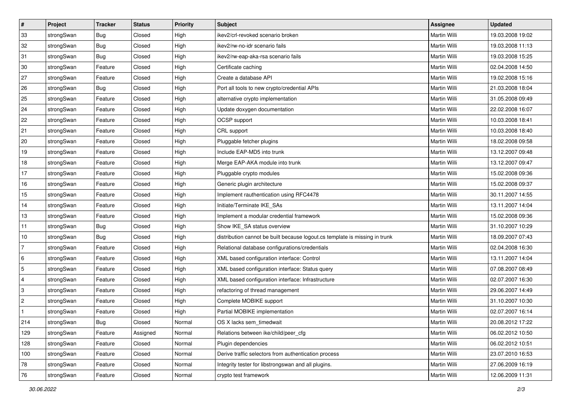| $\vert$ #      | Project    | <b>Tracker</b> | <b>Status</b> | <b>Priority</b> | <b>Subject</b>                                                              | <b>Assignee</b>     | <b>Updated</b>   |
|----------------|------------|----------------|---------------|-----------------|-----------------------------------------------------------------------------|---------------------|------------------|
| 33             | strongSwan | Bug            | Closed        | High            | ikev2/crl-revoked scenario broken                                           | Martin Willi        | 19.03.2008 19:02 |
| 32             | strongSwan | Bug            | Closed        | High            | ikev2/rw-no-idr scenario fails                                              | <b>Martin Willi</b> | 19.03.2008 11:13 |
| 31             | strongSwan | <b>Bug</b>     | Closed        | High            | ikev2/rw-eap-aka-rsa scenario fails                                         | Martin Willi        | 19.03.2008 15:25 |
| 30             | strongSwan | Feature        | Closed        | High            | Certificate caching                                                         | Martin Willi        | 02.04.2008 14:50 |
| 27             | strongSwan | Feature        | Closed        | High            | Create a database API                                                       | Martin Willi        | 19.02.2008 15:16 |
| 26             | strongSwan | <b>Bug</b>     | Closed        | High            | Port all tools to new crypto/credential APIs                                | Martin Willi        | 21.03.2008 18:04 |
| 25             | strongSwan | Feature        | Closed        | High            | alternative crypto implementation                                           | Martin Willi        | 31.05.2008 09:49 |
| 24             | strongSwan | Feature        | Closed        | High            | Update doxygen documentation                                                | Martin Willi        | 22.02.2008 16:07 |
| 22             | strongSwan | Feature        | Closed        | High            | OCSP support                                                                | Martin Willi        | 10.03.2008 18:41 |
| 21             | strongSwan | Feature        | Closed        | High            | CRL support                                                                 | Martin Willi        | 10.03.2008 18:40 |
| 20             | strongSwan | Feature        | Closed        | High            | Pluggable fetcher plugins                                                   | Martin Willi        | 18.02.2008 09:58 |
| 19             | strongSwan | Feature        | Closed        | High            | Include EAP-MD5 into trunk                                                  | Martin Willi        | 13.12.2007 09:48 |
| 18             | strongSwan | Feature        | Closed        | High            | Merge EAP-AKA module into trunk                                             | <b>Martin Willi</b> | 13.12.2007 09:47 |
| 17             | strongSwan | Feature        | Closed        | High            | Pluggable crypto modules                                                    | Martin Willi        | 15.02.2008 09:36 |
| 16             | strongSwan | Feature        | Closed        | High            | Generic plugin architecture                                                 | <b>Martin Willi</b> | 15.02.2008 09:37 |
| 15             | strongSwan | Feature        | Closed        | High            | Implement rauthentication using RFC4478                                     | Martin Willi        | 30.11.2007 14:55 |
| 14             | strongSwan | Feature        | Closed        | High            | Initiate/Terminate IKE SAs                                                  | <b>Martin Willi</b> | 13.11.2007 14:04 |
| 13             | strongSwan | Feature        | Closed        | High            | Implement a modular credential framework                                    | Martin Willi        | 15.02.2008 09:36 |
| 11             | strongSwan | <b>Bug</b>     | Closed        | High            | Show IKE_SA status overview                                                 | Martin Willi        | 31.10.2007 10:29 |
| 10             | strongSwan | <b>Bug</b>     | Closed        | High            | distribution cannot be built because logout.cs template is missing in trunk | Martin Willi        | 18.09.2007 07:43 |
| 7              | strongSwan | Feature        | Closed        | High            | Relational database configurations/credentials                              | Martin Willi        | 02.04.2008 16:30 |
| 6              | strongSwan | Feature        | Closed        | High            | XML based configuration interface: Control                                  | Martin Willi        | 13.11.2007 14:04 |
| 5              | strongSwan | Feature        | Closed        | High            | XML based configuration interface: Status query                             | Martin Willi        | 07.08.2007 08:49 |
| 4              | strongSwan | Feature        | Closed        | High            | XML based configuration interface: Infrastructure                           | Martin Willi        | 02.07.2007 16:30 |
| 3              | strongSwan | Feature        | Closed        | High            | refactoring of thread management                                            | Martin Willi        | 29.06.2007 14:49 |
| $\overline{2}$ | strongSwan | Feature        | Closed        | High            | Complete MOBIKE support                                                     | Martin Willi        | 31.10.2007 10:30 |
|                | strongSwan | Feature        | Closed        | High            | Partial MOBIKE implementation                                               | Martin Willi        | 02.07.2007 16:14 |
| 214            | strongSwan | <b>Bug</b>     | Closed        | Normal          | OS X lacks sem_timedwait                                                    | Martin Willi        | 20.08.2012 17:22 |
| 129            | strongSwan | Feature        | Assigned      | Normal          | Relations between ike/child/peer cfg                                        | Martin Willi        | 06.02.2012 10:50 |
| 128            | strongSwan | Feature        | Closed        | Normal          | Plugin dependencies                                                         | Martin Willi        | 06.02.2012 10:51 |
| 100            | strongSwan | Feature        | Closed        | Normal          | Derive traffic selectors from authentication process                        | Martin Willi        | 23.07.2010 16:53 |
| 78             | strongSwan | Feature        | Closed        | Normal          | Integrity tester for libstrongswan and all plugins.                         | Martin Willi        | 27.06.2009 16:19 |
| 76             | strongSwan | Feature        | Closed        | Normal          | crypto test framework                                                       | Martin Willi        | 12.06.2009 11:31 |